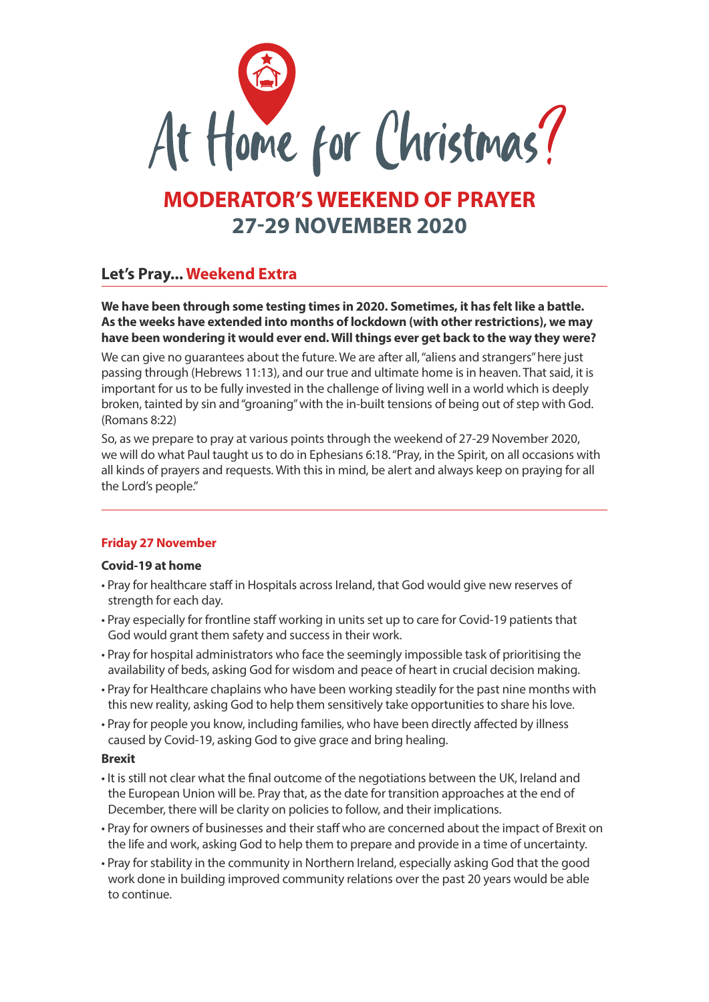

# **MODERATOR'S WEEKEND OF PRAYER 27-29 NOVEMBER 2020**

# **Let's Pray... Weekend Extra**

**We have been through some testing times in 2020. Sometimes, it has felt like a battle. As the weeks have extended into months of lockdown (with other restrictions), we may have been wondering it would ever end. Will things ever get back to the way they were?** 

We can give no guarantees about the future. We are after all, "aliens and strangers" here just passing through (Hebrews 11:13), and our true and ultimate home is in heaven. That said, it is important for us to be fully invested in the challenge of living well in a world which is deeply broken, tainted by sin and "groaning" with the in-built tensions of being out of step with God. (Romans 8:22)

So, as we prepare to pray at various points through the weekend of 27-29 November 2020, we will do what Paul taught us to do in Ephesians 6:18. "Pray, in the Spirit, on all occasions with all kinds of prayers and requests. With this in mind, be alert and always keep on praying for all the Lord's people."

# **Friday 27 November**

# **Covid-19 at home**

- Pray for healthcare staff in Hospitals across Ireland, that God would give new reserves of strength for each day.
- Pray especially for frontline staff working in units set up to care for Covid-19 patients that God would grant them safety and success in their work.
- Pray for hospital administrators who face the seemingly impossible task of prioritising the availability of beds, asking God for wisdom and peace of heart in crucial decision making.
- Pray for Healthcare chaplains who have been working steadily for the past nine months with this new reality, asking God to help them sensitively take opportunities to share his love.
- Pray for people you know, including families, who have been directly affected by illness caused by Covid-19, asking God to give grace and bring healing.

# **Brexit**

- It is still not clear what the final outcome of the negotiations between the UK, Ireland and the European Union will be. Pray that, as the date for transition approaches at the end of December, there will be clarity on policies to follow, and their implications.
- Pray for owners of businesses and their staff who are concerned about the impact of Brexit on the life and work, asking God to help them to prepare and provide in a time of uncertainty.
- Pray for stability in the community in Northern Ireland, especially asking God that the good work done in building improved community relations over the past 20 years would be able to continue.